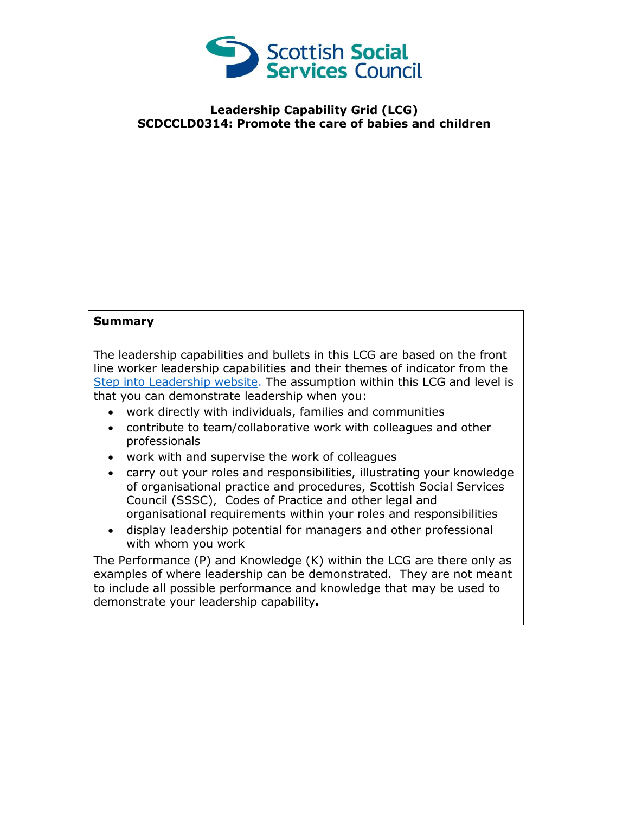

## **Leadership Capability Grid (LCG) SCDCCLD0314: Promote the care of babies and children**

## **Summary**

The leadership capabilities and bullets in this LCG are based on the front line worker leadership capabilities and their themes of indicator from the [Step into Leadership website.](http://www.stepintoleadership.info/) The assumption within this LCG and level is that you can demonstrate leadership when you:

- work directly with individuals, families and communities
- contribute to team/collaborative work with colleagues and other professionals
- work with and supervise the work of colleagues
- carry out your roles and responsibilities, illustrating your knowledge of organisational practice and procedures, Scottish Social Services Council (SSSC), Codes of Practice and other legal and organisational requirements within your roles and responsibilities
- display leadership potential for managers and other professional with whom you work

The Performance (P) and Knowledge (K) within the LCG are there only as examples of where leadership can be demonstrated. They are not meant to include all possible performance and knowledge that may be used to demonstrate your leadership capability**.**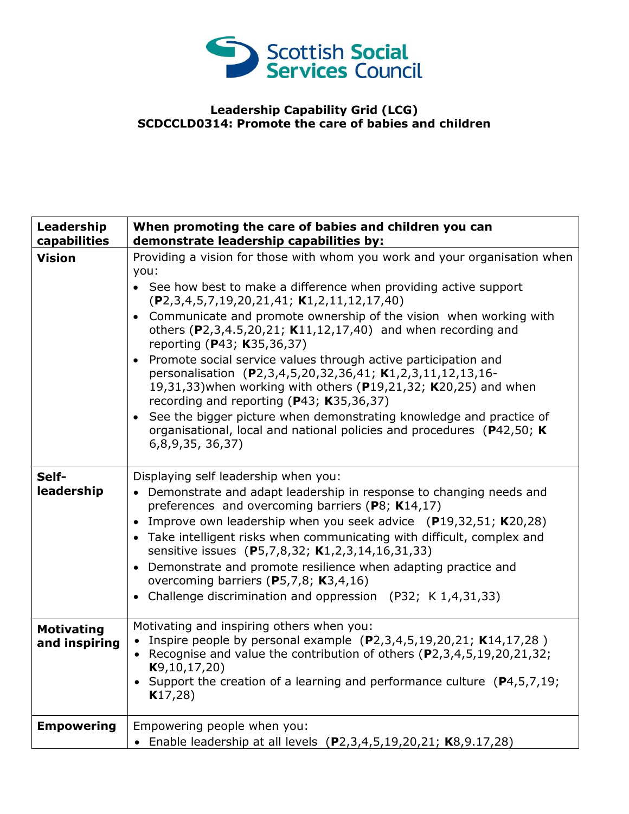

## **Leadership Capability Grid (LCG) SCDCCLD0314: Promote the care of babies and children**

| Leadership<br>capabilities         | When promoting the care of babies and children you can<br>demonstrate leadership capabilities by:                                                                                                                                                                                                                                                                                                                                                                                                                                                                                                                                                                                                                                                                                                                |
|------------------------------------|------------------------------------------------------------------------------------------------------------------------------------------------------------------------------------------------------------------------------------------------------------------------------------------------------------------------------------------------------------------------------------------------------------------------------------------------------------------------------------------------------------------------------------------------------------------------------------------------------------------------------------------------------------------------------------------------------------------------------------------------------------------------------------------------------------------|
| <b>Vision</b>                      | Providing a vision for those with whom you work and your organisation when<br>you:<br>• See how best to make a difference when providing active support<br>$(P2, 3, 4, 5, 7, 19, 20, 21, 41; K1, 2, 11, 12, 17, 40)$<br>• Communicate and promote ownership of the vision when working with<br>others (P2,3,4.5,20,21; K11,12,17,40) and when recording and<br>reporting (P43; K35,36,37)<br>Promote social service values through active participation and<br>personalisation (P2,3,4,5,20,32,36,41; K1,2,3,11,12,13,16-<br>19,31,33) when working with others (P19,21,32; K20,25) and when<br>recording and reporting (P43; K35,36,37)<br>See the bigger picture when demonstrating knowledge and practice of<br>organisational, local and national policies and procedures (P42,50; K)<br>6, 8, 9, 35, 36, 37 |
| Self-<br>leadership                | Displaying self leadership when you:<br>• Demonstrate and adapt leadership in response to changing needs and<br>preferences and overcoming barriers (P8; K14,17)<br>• Improve own leadership when you seek advice (P19,32,51; K20,28)<br>• Take intelligent risks when communicating with difficult, complex and<br>sensitive issues (P5,7,8,32; K1,2,3,14,16,31,33)<br>• Demonstrate and promote resilience when adapting practice and<br>overcoming barriers (P5,7,8; K3,4,16)<br>• Challenge discrimination and oppression (P32; K 1,4,31,33)                                                                                                                                                                                                                                                                 |
| <b>Motivating</b><br>and inspiring | Motivating and inspiring others when you:<br>• Inspire people by personal example $(P2,3,4,5,19,20,21; K14,17,28)$<br>• Recognise and value the contribution of others (P2,3,4,5,19,20,21,32;<br>K9, 10, 17, 20)<br>• Support the creation of a learning and performance culture $(P4, 5, 7, 19)$ ;<br>K17,28)                                                                                                                                                                                                                                                                                                                                                                                                                                                                                                   |
| <b>Empowering</b>                  | Empowering people when you:<br>• Enable leadership at all levels (P2,3,4,5,19,20,21; K8,9.17,28)                                                                                                                                                                                                                                                                                                                                                                                                                                                                                                                                                                                                                                                                                                                 |